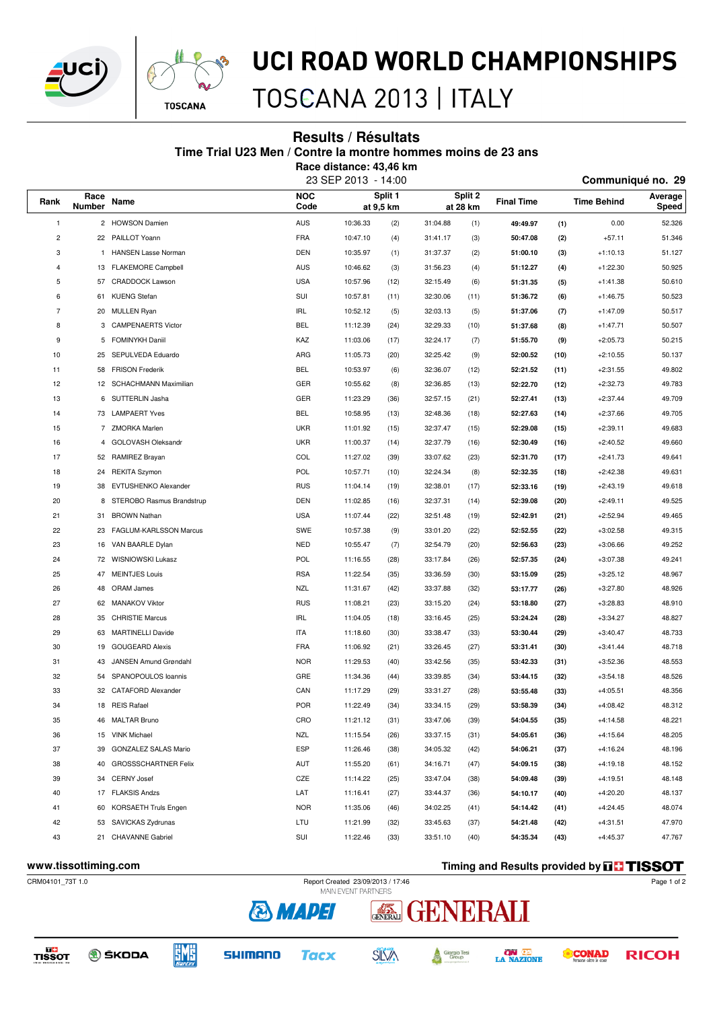



### UCI ROAD WORLD CHAMPIONSHIPS

### TOSCANA 2013 | ITALY

#### **Results / Résultats**

**Time Trial U23 Men / Contre la montre hommes moins de 23 ans**

**Race distance: 43,46 km**

| 23 SEP 2013 - 14:00 | Communiqué no. 29 |  |
|---------------------|-------------------|--|

|                |                |                            |                    |          |                      | Split 2  |          |                   |      |                    |                  |
|----------------|----------------|----------------------------|--------------------|----------|----------------------|----------|----------|-------------------|------|--------------------|------------------|
| Rank           | Race<br>Number | Name                       | <b>NOC</b><br>Code |          | Split 1<br>at 9,5 km |          | at 28 km | <b>Final Time</b> |      | <b>Time Behind</b> | Average<br>Speed |
| 1              |                | 2 HOWSON Damien            | <b>AUS</b>         | 10:36.33 | (2)                  | 31:04.88 | (1)      | 49:49.97          | (1)  | 0.00               | 52.326           |
| $\overline{c}$ |                | 22 PAILLOT Yoann           | FRA                | 10:47.10 | (4)                  | 31:41.17 | (3)      | 50:47.08          | (2)  | $+57.11$           | 51.346           |
| 3              | -1             | <b>HANSEN Lasse Norman</b> | <b>DEN</b>         | 10:35.97 | (1)                  | 31:37.37 | (2)      | 51:00.10          | (3)  | $+1:10.13$         | 51.127           |
| $\overline{4}$ | 13             | <b>FLAKEMORE Campbell</b>  | <b>AUS</b>         | 10:46.62 | (3)                  | 31:56.23 | (4)      | 51:12.27          | (4)  | $+1:22.30$         | 50.925           |
| 5              | 57             | CRADDOCK Lawson            | <b>USA</b>         | 10:57.96 | (12)                 | 32:15.49 | (6)      | 51:31.35          | (5)  | $+1:41.38$         | 50.610           |
| 6              | 61             | <b>KUENG Stefan</b>        | SUI                | 10:57.81 | (11)                 | 32:30.06 | (11)     | 51:36.72          | (6)  | $+1:46.75$         | 50.523           |
| $\overline{7}$ | 20             | <b>MULLEN Ryan</b>         | <b>IRL</b>         | 10:52.12 | (5)                  | 32:03.13 | (5)      | 51:37.06          | (7)  | $+1:47.09$         | 50.517           |
| 8              | 3              | <b>CAMPENAERTS Victor</b>  | <b>BEL</b>         | 11:12.39 | (24)                 | 32:29.33 | (10)     | 51:37.68          | (8)  | $+1:47.71$         | 50.507           |
| 9              | 5              | FOMINYKH Daniil            | KAZ                | 11:03.06 | (17)                 | 32:24.17 | (7)      | 51:55.70          | (9)  | $+2:05.73$         | 50.215           |
| 10             | 25             | SEPULVEDA Eduardo          | ARG                | 11:05.73 | (20)                 | 32:25.42 | (9)      | 52:00.52          | (10) | $+2:10.55$         | 50.137           |
| 11             | 58             | <b>FRISON Frederik</b>     | <b>BEL</b>         | 10:53.97 | (6)                  | 32:36.07 | (12)     | 52:21.52          | (11) | $+2:31.55$         | 49.802           |
| 12             |                | 12 SCHACHMANN Maximilian   | GER                | 10:55.62 | (8)                  | 32:36.85 | (13)     | 52:22.70          | (12) | $+2:32.73$         | 49.783           |
| 13             | 6              | SUTTERLIN Jasha            | GER                | 11:23.29 | (36)                 | 32:57.15 | (21)     | 52:27.41          | (13) | $+2:37.44$         | 49.709           |
| 14             |                | 73 LAMPAERT Yves           | <b>BEL</b>         | 10:58.95 | (13)                 | 32:48.36 | (18)     | 52:27.63          | (14) | $+2:37.66$         | 49.705           |
| 15             |                | 7 ZMORKA Marlen            | <b>UKR</b>         | 11:01.92 | (15)                 | 32:37.47 | (15)     | 52:29.08          | (15) | $+2:39.11$         | 49.683           |
| 16             | 4              | GOLOVASH Oleksandr         | <b>UKR</b>         | 11:00.37 | (14)                 | 32:37.79 | (16)     | 52:30.49          | (16) | $+2:40.52$         | 49.660           |
| 17             |                | 52 RAMIREZ Brayan          | COL                | 11:27.02 | (39)                 | 33:07.62 | (23)     | 52:31.70          | (17) | $+2:41.73$         | 49.641           |
| 18             | 24             | <b>REKITA Szymon</b>       | POL                | 10:57.71 | (10)                 | 32:24.34 | (8)      | 52:32.35          | (18) | $+2:42.38$         | 49.631           |
| 19             | 38             | EVTUSHENKO Alexander       | <b>RUS</b>         | 11:04.14 | (19)                 | 32:38.01 | (17)     | 52:33.16          | (19) | $+2:43.19$         | 49.618           |
| 20             | 8              | STEROBO Rasmus Brandstrup  | DEN                | 11:02.85 | (16)                 | 32:37.31 | (14)     | 52:39.08          | (20) | $+2:49.11$         | 49.525           |
| 21             | 31             | <b>BROWN Nathan</b>        | <b>USA</b>         | 11:07.44 | (22)                 | 32:51.48 | (19)     | 52:42.91          | (21) | $+2:52.94$         | 49.465           |
| 22             | 23             | FAGLUM-KARLSSON Marcus     | SWE                | 10:57.38 | (9)                  | 33:01.20 | (22)     | 52:52.55          | (22) | $+3:02.58$         | 49.315           |
| 23             |                | 16 VAN BAARLE Dylan        | <b>NED</b>         | 10:55.47 | (7)                  | 32:54.79 | (20)     | 52:56.63          | (23) | $+3:06.66$         | 49.252           |
| 24             |                | 72 WISNIOWSKI Lukasz       | POL                | 11:16.55 | (28)                 | 33:17.84 | (26)     | 52:57.35          | (24) | $+3:07.38$         | 49.241           |
| 25             |                | 47 MEINTJES Louis          | <b>RSA</b>         | 11:22.54 | (35)                 | 33:36.59 | (30)     | 53:15.09          | (25) | $+3:25.12$         | 48.967           |
| 26             |                | 48 ORAM James              | <b>NZL</b>         | 11:31.67 | (42)                 | 33:37.88 | (32)     | 53:17.77          | (26) | $+3:27.80$         | 48.926           |
| 27             |                | 62 MANAKOV Viktor          | <b>RUS</b>         | 11:08.21 | (23)                 | 33:15.20 | (24)     | 53:18.80          | (27) | $+3:28.83$         | 48.910           |
| 28             |                | 35 CHRISTIE Marcus         | IRL                | 11:04.05 | (18)                 | 33:16.45 | (25)     | 53:24.24          | (28) | $+3:34.27$         | 48.827           |
| 29             | 63             | <b>MARTINELLI Davide</b>   | <b>ITA</b>         | 11:18.60 | (30)                 | 33:38.47 | (33)     | 53:30.44          | (29) | $+3:40.47$         | 48.733           |
| 30             | 19             | <b>GOUGEARD Alexis</b>     | <b>FRA</b>         | 11:06.92 | (21)                 | 33:26.45 | (27)     | 53:31.41          | (30) | $+3:41.44$         | 48.718           |
| 31             | 43             | JANSEN Amund Grøndahl      | <b>NOR</b>         | 11:29.53 | (40)                 | 33:42.56 | (35)     | 53:42.33          | (31) | $+3:52.36$         | 48.553           |
| 32             | 54             | SPANOPOULOS loannis        | GRE                | 11:34.36 | (44)                 | 33:39.85 | (34)     | 53:44.15          | (32) | $+3:54.18$         | 48.526           |
| 33             |                | 32 CATAFORD Alexander      | CAN                | 11:17.29 | (29)                 | 33:31.27 | (28)     | 53:55.48          | (33) | $+4:05.51$         | 48.356           |
| 34             |                | 18 REIS Rafael             | <b>POR</b>         | 11:22.49 | (34)                 | 33:34.15 | (29)     | 53:58.39          | (34) | $+4:08.42$         | 48.312           |
| 35             |                | 46 MALTAR Bruno            | CRO                | 11:21.12 | (31)                 | 33:47.06 | (39)     | 54:04.55          | (35) | $+4:14.58$         | 48.221           |
| 36             |                | 15 VINK Michael            | NZL                | 11:15.54 | (26)                 | 33:37.15 | (31)     | 54:05.61          | (36) | $+4:15.64$         | 48.205           |
| 37             |                | 39 GONZALEZ SALAS Mario    | ESP                | 11:26.46 | (38)                 | 34:05.32 | (42)     | 54:06.21          | (37) | $+4:16.24$         | 48.196           |
| 38             |                | 40 GROSSSCHARTNER Felix    | AUT                | 11:55.20 | (61)                 | 34:16.71 | (47)     | 54:09.15          | (38) | $+4:19.18$         | 48.152           |
| 39             |                | 34 CERNY Josef             | CZE                | 11:14.22 | (25)                 | 33:47.04 | (38)     | 54:09.48          | (39) | $+4:19.51$         | 48.148           |
| 40             |                | 17 FLAKSIS Andzs           | LAT                | 11:16.41 | (27)                 | 33:44.37 | (36)     | 54:10.17          | (40) | $+4:20.20$         | 48.137           |
| 41             |                | 60 KORSAETH Truls Engen    | <b>NOR</b>         | 11:35.06 | (46)                 | 34:02.25 | (41)     | 54:14.42          | (41) | $+4:24.45$         | 48.074           |
| 42             |                | 53 SAVICKAS Zydrunas       | LTU                | 11:21.99 | (32)                 | 33:45.63 | (37)     | 54:21.48          | (42) | $+4:31.51$         | 47.970           |
| 43             |                | 21 CHAVANNE Gabriel        | SUI                | 11:22.46 | (33)                 | 33:51.10 | (40)     | 54:35.34          | (43) | $+4:45.37$         | 47.767           |
|                |                |                            |                    |          |                      |          |          |                   |      |                    |                  |

**WWW.tissottiming.com Timing and Results provided by THSSOT** Page 1 of 2

**RICOH** 

**CONAD** 

CRM04101\_73T 1.0 Report Created 23/09/2013 / 17:46



**SHIMANO** 









RNRRAH

Giorgio Tesi<br>Group

A

**ON AREA** 

GENERALI